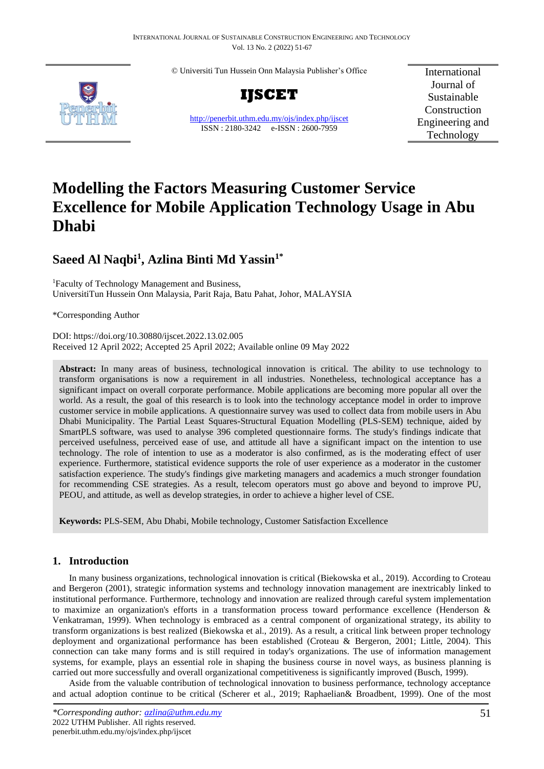© Universiti Tun Hussein Onn Malaysia Publisher's Office



**IJSCET**

<http://penerbit.uthm.edu.my/ojs/index.php/ijscet> ISSN : 2180-3242 e-ISSN : 2600-7959

International Journal of Sustainable Construction Engineering and Technology

# **Modelling the Factors Measuring Customer Service Excellence for Mobile Application Technology Usage in Abu Dhabi**

# **Saeed Al Naqbi<sup>1</sup> , Azlina Binti Md Yassin1\***

<sup>1</sup>Faculty of Technology Management and Business, UniversitiTun Hussein Onn Malaysia, Parit Raja, Batu Pahat, Johor, MALAYSIA

\*Corresponding Author

DOI: https://doi.org/10.30880/ijscet.2022.13.02.005 Received 12 April 2022; Accepted 25 April 2022; Available online 09 May 2022

**Abstract:** In many areas of business, technological innovation is critical. The ability to use technology to transform organisations is now a requirement in all industries. Nonetheless, technological acceptance has a significant impact on overall corporate performance. Mobile applications are becoming more popular all over the world. As a result, the goal of this research is to look into the technology acceptance model in order to improve customer service in mobile applications. A questionnaire survey was used to collect data from mobile users in Abu Dhabi Municipality. The Partial Least Squares-Structural Equation Modelling (PLS-SEM) technique, aided by SmartPLS software, was used to analyse 396 completed questionnaire forms. The study's findings indicate that perceived usefulness, perceived ease of use, and attitude all have a significant impact on the intention to use technology. The role of intention to use as a moderator is also confirmed, as is the moderating effect of user experience. Furthermore, statistical evidence supports the role of user experience as a moderator in the customer satisfaction experience. The study's findings give marketing managers and academics a much stronger foundation for recommending CSE strategies. As a result, telecom operators must go above and beyond to improve PU, PEOU, and attitude, as well as develop strategies, in order to achieve a higher level of CSE.

**Keywords:** PLS-SEM, Abu Dhabi, Mobile technology, Customer Satisfaction Excellence

# **1. Introduction**

In many business organizations, technological innovation is critical (Biekowska et al., 2019). According to Croteau and Bergeron (2001), strategic information systems and technology innovation management are inextricably linked to institutional performance. Furthermore, technology and innovation are realized through careful system implementation to maximize an organization's efforts in a transformation process toward performance excellence (Henderson & Venkatraman, 1999). When technology is embraced as a central component of organizational strategy, its ability to transform organizations is best realized (Biekowska et al., 2019). As a result, a critical link between proper technology deployment and organizational performance has been established (Croteau & Bergeron, 2001; Little, 2004). This connection can take many forms and is still required in today's organizations. The use of information management systems, for example, plays an essential role in shaping the business course in novel ways, as business planning is carried out more successfully and overall organizational competitiveness is significantly improved (Busch, 1999).

Aside from the valuable contribution of technological innovation to business performance, technology acceptance and actual adoption continue to be critical (Scherer et al., 2019; Raphaelian& Broadbent, 1999). One of the most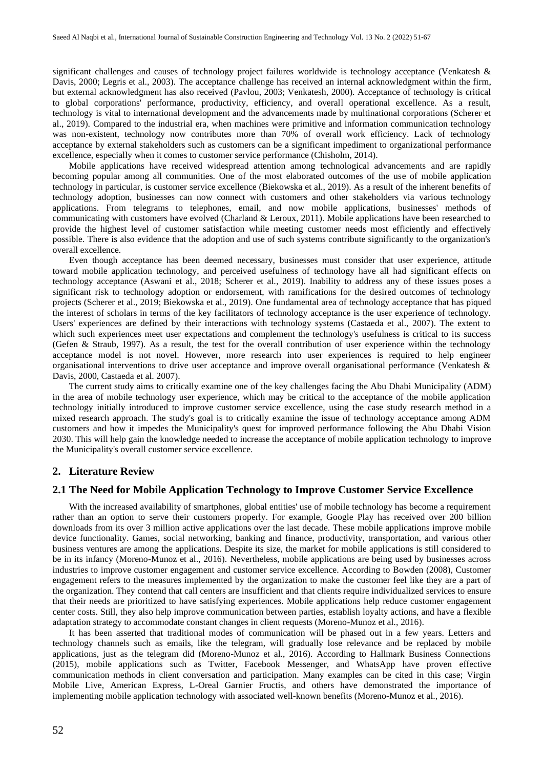significant challenges and causes of technology project failures worldwide is technology acceptance (Venkatesh & Davis, 2000; Legris et al., 2003). The acceptance challenge has received an internal acknowledgment within the firm, but external acknowledgment has also received (Pavlou, 2003; Venkatesh, 2000). Acceptance of technology is critical to global corporations' performance, productivity, efficiency, and overall operational excellence. As a result, technology is vital to international development and the advancements made by multinational corporations (Scherer et al., 2019). Compared to the industrial era, when machines were primitive and information communication technology was non-existent, technology now contributes more than 70% of overall work efficiency. Lack of technology acceptance by external stakeholders such as customers can be a significant impediment to organizational performance excellence, especially when it comes to customer service performance (Chisholm, 2014).

Mobile applications have received widespread attention among technological advancements and are rapidly becoming popular among all communities. One of the most elaborated outcomes of the use of mobile application technology in particular, is customer service excellence (Biekowska et al., 2019). As a result of the inherent benefits of technology adoption, businesses can now connect with customers and other stakeholders via various technology applications. From telegrams to telephones, email, and now mobile applications, businesses' methods of communicating with customers have evolved (Charland & Leroux, 2011). Mobile applications have been researched to provide the highest level of customer satisfaction while meeting customer needs most efficiently and effectively possible. There is also evidence that the adoption and use of such systems contribute significantly to the organization's overall excellence.

Even though acceptance has been deemed necessary, businesses must consider that user experience, attitude toward mobile application technology, and perceived usefulness of technology have all had significant effects on technology acceptance (Aswani et al., 2018; Scherer et al., 2019). Inability to address any of these issues poses a significant risk to technology adoption or endorsement, with ramifications for the desired outcomes of technology projects (Scherer et al., 2019; Biekowska et al., 2019). One fundamental area of technology acceptance that has piqued the interest of scholars in terms of the key facilitators of technology acceptance is the user experience of technology. Users' experiences are defined by their interactions with technology systems (Castaeda et al., 2007). The extent to which such experiences meet user expectations and complement the technology's usefulness is critical to its success (Gefen & Straub, 1997). As a result, the test for the overall contribution of user experience within the technology acceptance model is not novel. However, more research into user experiences is required to help engineer organisational interventions to drive user acceptance and improve overall organisational performance (Venkatesh  $\&$ Davis, 2000, Castaeda et al. 2007).

The current study aims to critically examine one of the key challenges facing the Abu Dhabi Municipality (ADM) in the area of mobile technology user experience, which may be critical to the acceptance of the mobile application technology initially introduced to improve customer service excellence, using the case study research method in a mixed research approach. The study's goal is to critically examine the issue of technology acceptance among ADM customers and how it impedes the Municipality's quest for improved performance following the Abu Dhabi Vision 2030. This will help gain the knowledge needed to increase the acceptance of mobile application technology to improve the Municipality's overall customer service excellence.

#### **2. Literature Review**

#### **2.1 The Need for Mobile Application Technology to Improve Customer Service Excellence**

With the increased availability of smartphones, global entities' use of mobile technology has become a requirement rather than an option to serve their customers properly. For example, Google Play has received over 200 billion downloads from its over 3 million active applications over the last decade. These mobile applications improve mobile device functionality. Games, social networking, banking and finance, productivity, transportation, and various other business ventures are among the applications. Despite its size, the market for mobile applications is still considered to be in its infancy (Moreno-Munoz et al., 2016). Nevertheless, mobile applications are being used by businesses across industries to improve customer engagement and customer service excellence. According to Bowden (2008), Customer engagement refers to the measures implemented by the organization to make the customer feel like they are a part of the organization. They contend that call centers are insufficient and that clients require individualized services to ensure that their needs are prioritized to have satisfying experiences. Mobile applications help reduce customer engagement center costs. Still, they also help improve communication between parties, establish loyalty actions, and have a flexible adaptation strategy to accommodate constant changes in client requests (Moreno-Munoz et al., 2016).

It has been asserted that traditional modes of communication will be phased out in a few years. Letters and technology channels such as emails, like the telegram, will gradually lose relevance and be replaced by mobile applications, just as the telegram did (Moreno-Munoz et al., 2016). According to Hallmark Business Connections (2015), mobile applications such as Twitter, Facebook Messenger, and WhatsApp have proven effective communication methods in client conversation and participation. Many examples can be cited in this case; Virgin Mobile Live, American Express, L-Oreal Garnier Fructis, and others have demonstrated the importance of implementing mobile application technology with associated well-known benefits (Moreno-Munoz et al., 2016).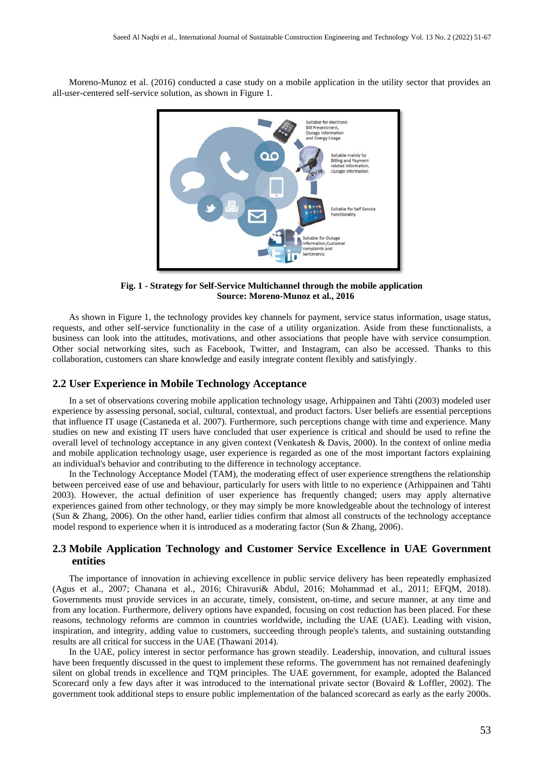Moreno-Munoz et al. (2016) conducted a case study on a mobile application in the utility sector that provides an all-user-centered self-service solution, as shown in Figure 1.



**Fig. 1 - Strategy for Self-Service Multichannel through the mobile application Source: Moreno-Munoz et al., 2016**

As shown in Figure 1, the technology provides key channels for payment, service status information, usage status, requests, and other self-service functionality in the case of a utility organization. Aside from these functionalists, a business can look into the attitudes, motivations, and other associations that people have with service consumption. Other social networking sites, such as Facebook, Twitter, and Instagram, can also be accessed. Thanks to this collaboration, customers can share knowledge and easily integrate content flexibly and satisfyingly.

#### **2.2 User Experience in Mobile Technology Acceptance**

In a set of observations covering mobile application technology usage, Arhippainen and Tähti (2003) modeled user experience by assessing personal, social, cultural, contextual, and product factors. User beliefs are essential perceptions that influence IT usage (Castaneda et al. 2007). Furthermore, such perceptions change with time and experience. Many studies on new and existing IT users have concluded that user experience is critical and should be used to refine the overall level of technology acceptance in any given context (Venkatesh & Davis, 2000). In the context of online media and mobile application technology usage, user experience is regarded as one of the most important factors explaining an individual's behavior and contributing to the difference in technology acceptance.

In the Technology Acceptance Model (TAM), the moderating effect of user experience strengthens the relationship between perceived ease of use and behaviour, particularly for users with little to no experience (Arhippainen and Tähti 2003). However, the actual definition of user experience has frequently changed; users may apply alternative experiences gained from other technology, or they may simply be more knowledgeable about the technology of interest (Sun & Zhang, 2006). On the other hand, earlier tidies confirm that almost all constructs of the technology acceptance model respond to experience when it is introduced as a moderating factor (Sun & Zhang, 2006).

## **2.3 Mobile Application Technology and Customer Service Excellence in UAE Government entities**

The importance of innovation in achieving excellence in public service delivery has been repeatedly emphasized (Agus et al., 2007; Chanana et al., 2016; Chiravuri& Abdul, 2016; Mohammad et al., 2011; EFQM, 2018). Governments must provide services in an accurate, timely, consistent, on-time, and secure manner, at any time and from any location. Furthermore, delivery options have expanded, focusing on cost reduction has been placed. For these reasons, technology reforms are common in countries worldwide, including the UAE (UAE). Leading with vision, inspiration, and integrity, adding value to customers, succeeding through people's talents, and sustaining outstanding results are all critical for success in the UAE (Thawani 2014).

In the UAE, policy interest in sector performance has grown steadily. Leadership, innovation, and cultural issues have been frequently discussed in the quest to implement these reforms. The government has not remained deafeningly silent on global trends in excellence and TQM principles. The UAE government, for example, adopted the Balanced Scorecard only a few days after it was introduced to the international private sector (Bovaird & Loffler, 2002). The government took additional steps to ensure public implementation of the balanced scorecard as early as the early 2000s.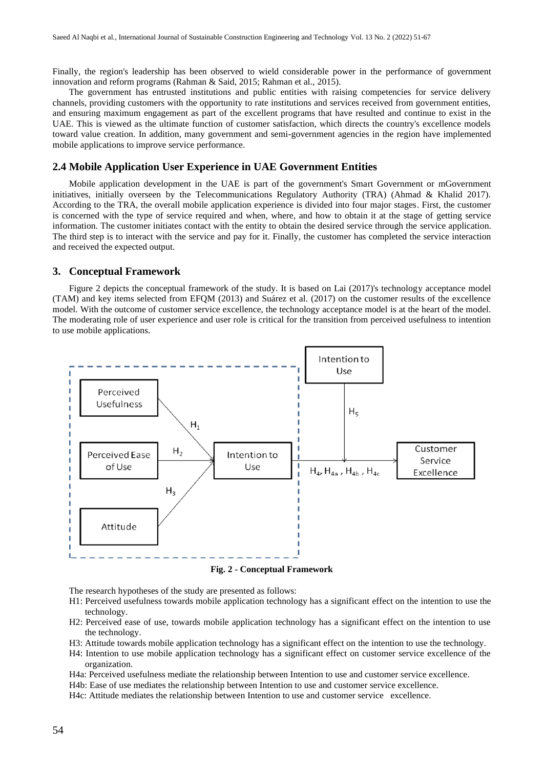Finally, the region's leadership has been observed to wield considerable power in the performance of government innovation and reform programs (Rahman & Said, 2015; Rahman et al., 2015).

The government has entrusted institutions and public entities with raising competencies for service delivery channels, providing customers with the opportunity to rate institutions and services received from government entities, and ensuring maximum engagement as part of the excellent programs that have resulted and continue to exist in the UAE. This is viewed as the ultimate function of customer satisfaction, which directs the country's excellence models toward value creation. In addition, many government and semi-government agencies in the region have implemented mobile applications to improve service performance.

#### **2.4 Mobile Application User Experience in UAE Government Entities**

Mobile application development in the UAE is part of the government's Smart Government or mGovernment initiatives, initially overseen by the Telecommunications Regulatory Authority (TRA) (Ahmad & Khalid 2017). According to the TRA, the overall mobile application experience is divided into four major stages. First, the customer is concerned with the type of service required and when, where, and how to obtain it at the stage of getting service information. The customer initiates contact with the entity to obtain the desired service through the service application. The third step is to interact with the service and pay for it. Finally, the customer has completed the service interaction and received the expected output.

#### **3. Conceptual Framework**

Figure 2 depicts the conceptual framework of the study. It is based on Lai (2017)'s technology acceptance model (TAM) and key items selected from EFQM (2013) and Suárez et al. (2017) on the customer results of the excellence model. With the outcome of customer service excellence, the technology acceptance model is at the heart of the model. The moderating role of user experience and user role is critical for the transition from perceived usefulness to intention to use mobile applications.



**Fig. 2 - Conceptual Framework**

The research hypotheses of the study are presented as follows:

- H1: Perceived usefulness towards mobile application technology has a significant effect on the intention to use the technology.
- H2: Perceived ease of use, towards mobile application technology has a significant effect on the intention to use the technology.
- H3: Attitude towards mobile application technology has a significant effect on the intention to use the technology.
- H4: Intention to use mobile application technology has a significant effect on customer service excellence of the organization.
- H4a: Perceived usefulness mediate the relationship between Intention to use and customer service excellence.

H4b: Ease of use mediates the relationship between Intention to use and customer service excellence.

H4c: Attitude mediates the relationship between Intention to use and customer service excellence.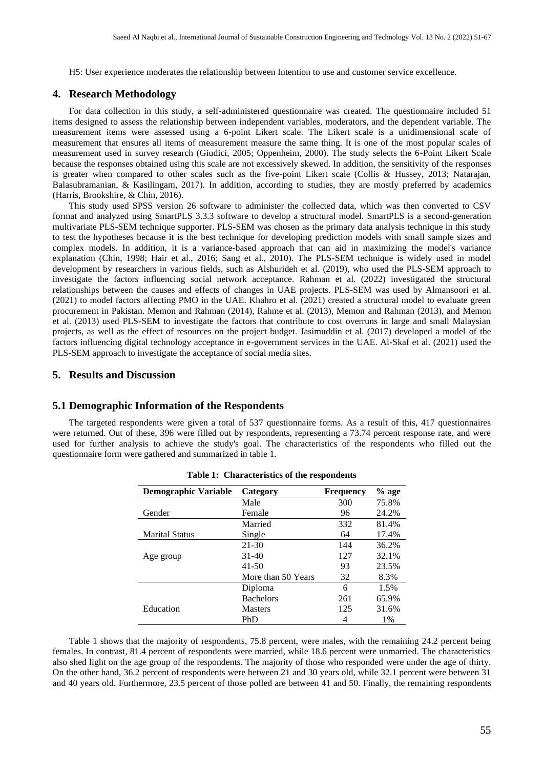H5: User experience moderates the relationship between Intention to use and customer service excellence.

#### **4. Research Methodology**

For data collection in this study, a self-administered questionnaire was created. The questionnaire included 51 items designed to assess the relationship between independent variables, moderators, and the dependent variable. The measurement items were assessed using a 6-point Likert scale. The Likert scale is a unidimensional scale of measurement that ensures all items of measurement measure the same thing. It is one of the most popular scales of measurement used in survey research (Giudici, 2005; Oppenheim, 2000). The study selects the 6-Point Likert Scale because the responses obtained using this scale are not excessively skewed. In addition, the sensitivity of the responses is greater when compared to other scales such as the five-point Likert scale (Collis & Hussey, 2013; Natarajan, Balasubramanian, & Kasilingam, 2017). In addition, according to studies, they are mostly preferred by academics (Harris, Brookshire, & Chin, 2016).

This study used SPSS version 26 software to administer the collected data, which was then converted to CSV format and analyzed using SmartPLS 3.3.3 software to develop a structural model. SmartPLS is a second-generation multivariate PLS-SEM technique supporter. PLS-SEM was chosen as the primary data analysis technique in this study to test the hypotheses because it is the best technique for developing prediction models with small sample sizes and complex models. In addition, it is a variance-based approach that can aid in maximizing the model's variance explanation (Chin, 1998; Hair et al., 2016; Sang et al., 2010). The PLS-SEM technique is widely used in model development by researchers in various fields, such as Alshurideh et al. (2019), who used the PLS-SEM approach to investigate the factors influencing social network acceptance. Rahman et al. (2022) investigated the structural relationships between the causes and effects of changes in UAE projects. PLS-SEM was used by Almansoori et al. (2021) to model factors affecting PMO in the UAE. Khahro et al. (2021) created a structural model to evaluate green procurement in Pakistan. Memon and Rahman (2014), Rahme et al. (2013), Memon and Rahman (2013), and Memon et al. (2013) used PLS-SEM to investigate the factors that contribute to cost overruns in large and small Malaysian projects, as well as the effect of resources on the project budget. Jasimuddin et al. (2017) developed a model of the factors influencing digital technology acceptance in e-government services in the UAE. Al-Skaf et al. (2021) used the PLS-SEM approach to investigate the acceptance of social media sites.

#### **5. Results and Discussion**

#### **5.1 Demographic Information of the Respondents**

The targeted respondents were given a total of 537 questionnaire forms. As a result of this, 417 questionnaires were returned. Out of these, 396 were filled out by respondents, representing a 73.74 percent response rate, and were used for further analysis to achieve the study's goal. The characteristics of the respondents who filled out the questionnaire form were gathered and summarized in table 1.

| Demographic Variable  | Category           | <b>Frequency</b> | $%$ age |
|-----------------------|--------------------|------------------|---------|
|                       | Male               | 300              | 75.8%   |
| Gender                | Female             | 96               | 24.2%   |
|                       | Married            | 332              | 81.4%   |
| <b>Marital Status</b> | Single             | 64               | 17.4%   |
|                       | $21 - 30$          | 144              | 36.2%   |
| Age group             | $31 - 40$          | 127              | 32.1%   |
|                       | $41 - 50$          | 93               | 23.5%   |
|                       | More than 50 Years | 32               | 8.3%    |
|                       | Diploma            | 6                | 1.5%    |
|                       | <b>Bachelors</b>   | 261              | 65.9%   |
| Education             | <b>Masters</b>     | 125              | 31.6%   |
|                       | PhD                | 4                | 1%      |

|  | Table 1: Characteristics of the respondents |  |  |
|--|---------------------------------------------|--|--|
|--|---------------------------------------------|--|--|

Table 1 shows that the majority of respondents, 75.8 percent, were males, with the remaining 24.2 percent being females. In contrast, 81.4 percent of respondents were married, while 18.6 percent were unmarried. The characteristics also shed light on the age group of the respondents. The majority of those who responded were under the age of thirty. On the other hand, 36.2 percent of respondents were between 21 and 30 years old, while 32.1 percent were between 31 and 40 years old. Furthermore, 23.5 percent of those polled are between 41 and 50. Finally, the remaining respondents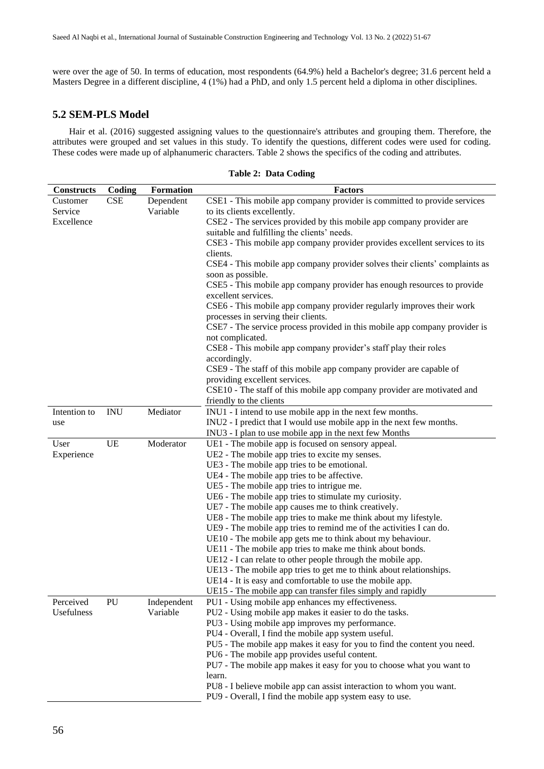were over the age of 50. In terms of education, most respondents (64.9%) held a Bachelor's degree; 31.6 percent held a Masters Degree in a different discipline, 4 (1%) had a PhD, and only 1.5 percent held a diploma in other disciplines.

# **5.2 SEM-PLS Model**

Hair et al. (2016) suggested assigning values to the questionnaire's attributes and grouping them. Therefore, the attributes were grouped and set values in this study. To identify the questions, different codes were used for coding. These codes were made up of alphanumeric characters. Table 2 shows the specifics of the coding and attributes.

| <b>Constructs</b> | Coding     | <b>Formation</b>        | <b>Factors</b>                                                                                                                  |
|-------------------|------------|-------------------------|---------------------------------------------------------------------------------------------------------------------------------|
| Customer          | <b>CSE</b> | Dependent               | CSE1 - This mobile app company provider is committed to provide services                                                        |
| Service           |            | Variable                | to its clients excellently.                                                                                                     |
| Excellence        |            |                         | CSE2 - The services provided by this mobile app company provider are                                                            |
|                   |            |                         | suitable and fulfilling the clients' needs.                                                                                     |
|                   |            |                         | CSE3 - This mobile app company provider provides excellent services to its                                                      |
|                   |            |                         | clients.                                                                                                                        |
|                   |            |                         | CSE4 - This mobile app company provider solves their clients' complaints as                                                     |
|                   |            |                         | soon as possible.                                                                                                               |
|                   |            |                         | CSE5 - This mobile app company provider has enough resources to provide                                                         |
|                   |            |                         | excellent services.                                                                                                             |
|                   |            |                         | CSE6 - This mobile app company provider regularly improves their work                                                           |
|                   |            |                         | processes in serving their clients.                                                                                             |
|                   |            |                         | CSE7 - The service process provided in this mobile app company provider is                                                      |
|                   |            |                         | not complicated.                                                                                                                |
|                   |            |                         | CSE8 - This mobile app company provider's staff play their roles                                                                |
|                   |            |                         | accordingly.                                                                                                                    |
|                   |            |                         | CSE9 - The staff of this mobile app company provider are capable of                                                             |
|                   |            |                         | providing excellent services.                                                                                                   |
|                   |            |                         | CSE10 - The staff of this mobile app company provider are motivated and                                                         |
|                   |            |                         | friendly to the clients                                                                                                         |
| Intention to      | <b>INU</b> | Mediator                | INU1 - I intend to use mobile app in the next few months.                                                                       |
| use               |            |                         | INU2 - I predict that I would use mobile app in the next few months.                                                            |
|                   |            |                         | INU3 - I plan to use mobile app in the next few Months                                                                          |
| User              | <b>UE</b>  | Moderator               | UE1 - The mobile app is focused on sensory appeal.                                                                              |
| Experience        |            |                         | UE2 - The mobile app tries to excite my senses.                                                                                 |
|                   |            |                         | UE3 - The mobile app tries to be emotional.                                                                                     |
|                   |            |                         | UE4 - The mobile app tries to be affective.                                                                                     |
|                   |            |                         | UE5 - The mobile app tries to intrigue me.                                                                                      |
|                   |            |                         | UE6 - The mobile app tries to stimulate my curiosity.                                                                           |
|                   |            |                         | UE7 - The mobile app causes me to think creatively.                                                                             |
|                   |            |                         | UE8 - The mobile app tries to make me think about my lifestyle.                                                                 |
|                   |            |                         | UE9 - The mobile app tries to remind me of the activities I can do.                                                             |
|                   |            |                         | UE10 - The mobile app gets me to think about my behaviour.                                                                      |
|                   |            |                         | UE11 - The mobile app tries to make me think about bonds.                                                                       |
|                   |            |                         | UE12 - I can relate to other people through the mobile app.                                                                     |
|                   |            |                         | UE13 - The mobile app tries to get me to think about relationships.                                                             |
|                   |            |                         | UE14 - It is easy and comfortable to use the mobile app.                                                                        |
|                   |            |                         | UE15 - The mobile app can transfer files simply and rapidly                                                                     |
| Perceived         | PU         | Independent<br>Variable | PU1 - Using mobile app enhances my effectiveness.                                                                               |
| Usefulness        |            |                         | PU2 - Using mobile app makes it easier to do the tasks.                                                                         |
|                   |            |                         | PU3 - Using mobile app improves my performance.                                                                                 |
|                   |            |                         | PU4 - Overall, I find the mobile app system useful.<br>PU5 - The mobile app makes it easy for you to find the content you need. |
|                   |            |                         | PU6 - The mobile app provides useful content.                                                                                   |
|                   |            |                         | PU7 - The mobile app makes it easy for you to choose what you want to                                                           |
|                   |            |                         | learn.                                                                                                                          |
|                   |            |                         | PU8 - I believe mobile app can assist interaction to whom you want.                                                             |
|                   |            |                         |                                                                                                                                 |

PU9 - Overall, I find the mobile app system easy to use.

**Table 2: Data Coding**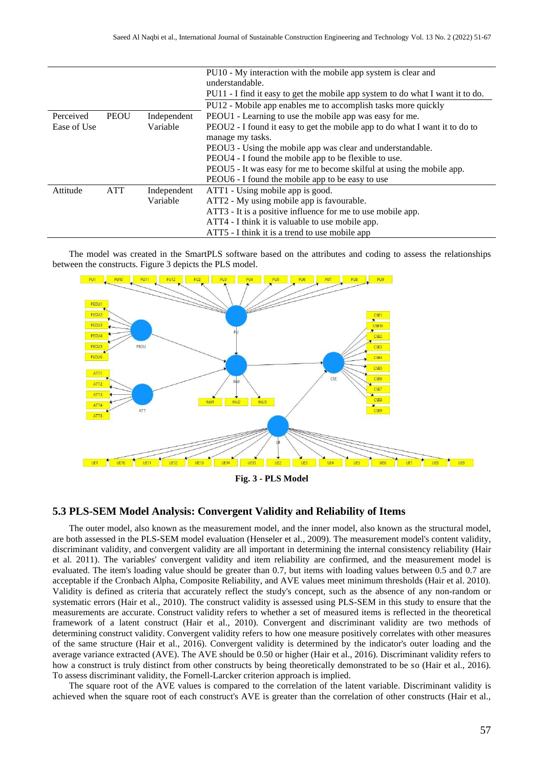|             |             |             | PU10 - My interaction with the mobile app system is clear and<br>understandable.<br>PU11 - I find it easy to get the mobile app system to do what I want it to do.<br>PU12 - Mobile app enables me to accomplish tasks more quickly |
|-------------|-------------|-------------|-------------------------------------------------------------------------------------------------------------------------------------------------------------------------------------------------------------------------------------|
| Perceived   | <b>PEOU</b> | Independent | PEOU1 - Learning to use the mobile app was easy for me.                                                                                                                                                                             |
| Ease of Use |             | Variable    | PEOU2 - I found it easy to get the mobile app to do what I want it to do to                                                                                                                                                         |
|             |             |             | manage my tasks.                                                                                                                                                                                                                    |
|             |             |             | PEOU3 - Using the mobile app was clear and understandable.                                                                                                                                                                          |
|             |             |             | PEOU4 - I found the mobile app to be flexible to use.                                                                                                                                                                               |
|             |             |             | PEOU5 - It was easy for me to become skilful at using the mobile app.                                                                                                                                                               |
|             |             |             | PEOU6 - I found the mobile app to be easy to use                                                                                                                                                                                    |
| Attitude    | <b>ATT</b>  | Independent | ATT1 - Using mobile app is good.                                                                                                                                                                                                    |
|             |             | Variable    | ATT2 - My using mobile app is favourable.                                                                                                                                                                                           |
|             |             |             | ATT3 - It is a positive influence for me to use mobile app.                                                                                                                                                                         |
|             |             |             | ATT4 - I think it is valuable to use mobile app.                                                                                                                                                                                    |
|             |             |             | ATT5 - I think it is a trend to use mobile app                                                                                                                                                                                      |

The model was created in the SmartPLS software based on the attributes and coding to assess the relationships between the constructs. Figure 3 depicts the PLS model.



**Fig. 3 - PLS Model** 

#### **5.3 PLS-SEM Model Analysis: Convergent Validity and Reliability of Items**

The outer model, also known as the measurement model, and the inner model, also known as the structural model, are both assessed in the PLS-SEM model evaluation (Henseler et al., 2009). The measurement model's content validity, discriminant validity, and convergent validity are all important in determining the internal consistency reliability (Hair et al. 2011). The variables' convergent validity and item reliability are confirmed, and the measurement model is evaluated. The item's loading value should be greater than 0.7, but items with loading values between 0.5 and 0.7 are acceptable if the Cronbach Alpha, Composite Reliability, and AVE values meet minimum thresholds (Hair et al. 2010). Validity is defined as criteria that accurately reflect the study's concept, such as the absence of any non-random or systematic errors (Hair et al., 2010). The construct validity is assessed using PLS-SEM in this study to ensure that the measurements are accurate. Construct validity refers to whether a set of measured items is reflected in the theoretical framework of a latent construct (Hair et al., 2010). Convergent and discriminant validity are two methods of determining construct validity. Convergent validity refers to how one measure positively correlates with other measures of the same structure (Hair et al., 2016). Convergent validity is determined by the indicator's outer loading and the average variance extracted (AVE). The AVE should be 0.50 or higher (Hair et al., 2016). Discriminant validity refers to how a construct is truly distinct from other constructs by being theoretically demonstrated to be so (Hair et al., 2016). To assess discriminant validity, the Fornell-Larcker criterion approach is implied.

The square root of the AVE values is compared to the correlation of the latent variable. Discriminant validity is achieved when the square root of each construct's AVE is greater than the correlation of other constructs (Hair et al.,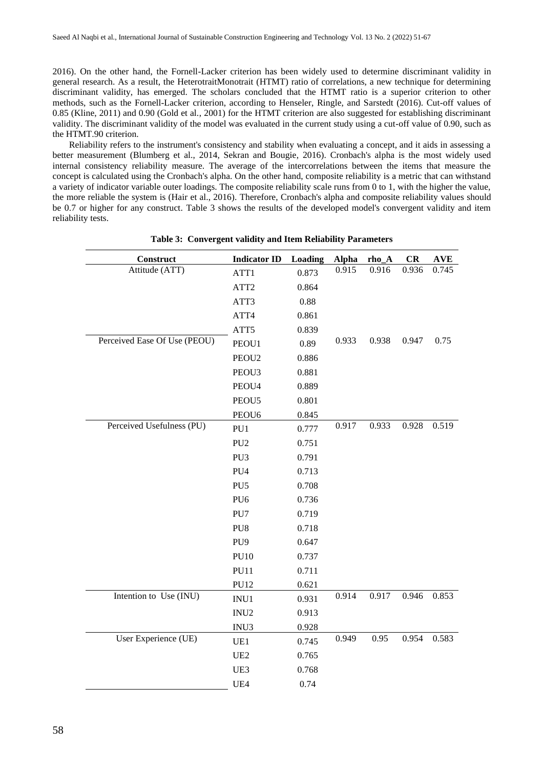2016). On the other hand, the Fornell-Lacker criterion has been widely used to determine discriminant validity in general research. As a result, the HeterotraitMonotrait (HTMT) ratio of correlations, a new technique for determining discriminant validity, has emerged. The scholars concluded that the HTMT ratio is a superior criterion to other methods, such as the Fornell-Lacker criterion, according to Henseler, Ringle, and Sarstedt (2016). Cut-off values of 0.85 (Kline, 2011) and 0.90 (Gold et al., 2001) for the HTMT criterion are also suggested for establishing discriminant validity. The discriminant validity of the model was evaluated in the current study using a cut-off value of 0.90, such as the HTMT.90 criterion.

Reliability refers to the instrument's consistency and stability when evaluating a concept, and it aids in assessing a better measurement (Blumberg et al., 2014, Sekran and Bougie, 2016). Cronbach's alpha is the most widely used internal consistency reliability measure. The average of the intercorrelations between the items that measure the concept is calculated using the Cronbach's alpha. On the other hand, composite reliability is a metric that can withstand a variety of indicator variable outer loadings. The composite reliability scale runs from 0 to 1, with the higher the value, the more reliable the system is (Hair et al., 2016). Therefore, Cronbach's alpha and composite reliability values should be 0.7 or higher for any construct. Table 3 shows the results of the developed model's convergent validity and item reliability tests.

| Construct                    | <b>Indicator ID</b> | Loading | <b>Alpha</b> | rho_A | CR    | <b>AVE</b> |
|------------------------------|---------------------|---------|--------------|-------|-------|------------|
| Attitude (ATT)               | ATT1                | 0.873   | 0.915        | 0.916 | 0.936 | 0.745      |
|                              | ATT <sub>2</sub>    | 0.864   |              |       |       |            |
|                              | ATT3                | 0.88    |              |       |       |            |
|                              | ATT4                | 0.861   |              |       |       |            |
|                              | ATT5                | 0.839   |              |       |       |            |
| Perceived Ease Of Use (PEOU) | PEOU1               | 0.89    | 0.933        | 0.938 | 0.947 | 0.75       |
|                              | PEOU <sub>2</sub>   | 0.886   |              |       |       |            |
|                              | PEOU3               | 0.881   |              |       |       |            |
|                              | PEOU4               | 0.889   |              |       |       |            |
|                              | PEOU5               | 0.801   |              |       |       |            |
|                              | PEOU <sub>6</sub>   | 0.845   |              |       |       |            |
| Perceived Usefulness (PU)    | PU1                 | 0.777   | 0.917        | 0.933 | 0.928 | 0.519      |
|                              | PU <sub>2</sub>     | 0.751   |              |       |       |            |
|                              | PU3                 | 0.791   |              |       |       |            |
|                              | PU <sub>4</sub>     | 0.713   |              |       |       |            |
|                              | PU <sub>5</sub>     | 0.708   |              |       |       |            |
|                              | PU <sub>6</sub>     | 0.736   |              |       |       |            |
|                              | PU7                 | 0.719   |              |       |       |            |
|                              | PU8                 | 0.718   |              |       |       |            |
|                              | PU <sub>9</sub>     | 0.647   |              |       |       |            |
|                              | <b>PU10</b>         | 0.737   |              |       |       |            |
|                              | <b>PU11</b>         | 0.711   |              |       |       |            |
|                              | <b>PU12</b>         | 0.621   |              |       |       |            |
| Intention to Use (INU)       | INU1                | 0.931   | 0.914        | 0.917 | 0.946 | 0.853      |
|                              | INU <sub>2</sub>    | 0.913   |              |       |       |            |
|                              | INU3                | 0.928   |              |       |       |            |
| User Experience (UE)         | UE1                 | 0.745   | 0.949        | 0.95  | 0.954 | 0.583      |
|                              | UE <sub>2</sub>     | 0.765   |              |       |       |            |
|                              | UE3                 | 0.768   |              |       |       |            |
|                              | UE4                 | 0.74    |              |       |       |            |

**Table 3: Convergent validity and Item Reliability Parameters**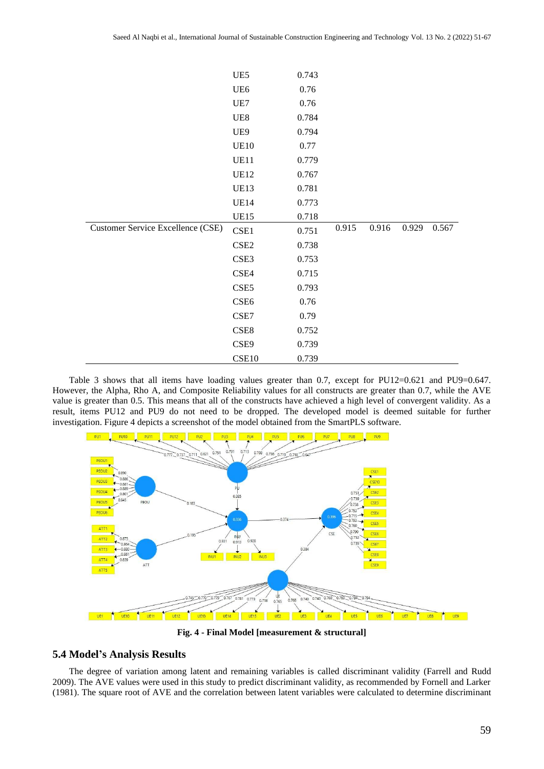|                                          | UE5              | 0.743 |       |       |       |       |
|------------------------------------------|------------------|-------|-------|-------|-------|-------|
|                                          | UE <sub>6</sub>  | 0.76  |       |       |       |       |
|                                          | UE7              | 0.76  |       |       |       |       |
|                                          | UE8              | 0.784 |       |       |       |       |
|                                          | UE9              | 0.794 |       |       |       |       |
|                                          | <b>UE10</b>      | 0.77  |       |       |       |       |
|                                          | <b>UE11</b>      | 0.779 |       |       |       |       |
|                                          | <b>UE12</b>      | 0.767 |       |       |       |       |
|                                          | <b>UE13</b>      | 0.781 |       |       |       |       |
|                                          | <b>UE14</b>      | 0.773 |       |       |       |       |
|                                          | <b>UE15</b>      | 0.718 |       |       |       |       |
| <b>Customer Service Excellence (CSE)</b> | CSE1             | 0.751 | 0.915 | 0.916 | 0.929 | 0.567 |
|                                          | CSE <sub>2</sub> | 0.738 |       |       |       |       |
|                                          | CSE3             | 0.753 |       |       |       |       |
|                                          | CSE4             | 0.715 |       |       |       |       |
|                                          | CSE <sub>5</sub> | 0.793 |       |       |       |       |
|                                          | CSE <sub>6</sub> | 0.76  |       |       |       |       |
|                                          | CSE7             | 0.79  |       |       |       |       |
|                                          | CSE8             | 0.752 |       |       |       |       |
|                                          | CSE9             | 0.739 |       |       |       |       |
|                                          | CSE10            | 0.739 |       |       |       |       |

Table 3 shows that all items have loading values greater than 0.7, except for PU12=0.621 and PU9=0.647. However, the Alpha, Rho A, and Composite Reliability values for all constructs are greater than 0.7, while the AVE value is greater than 0.5. This means that all of the constructs have achieved a high level of convergent validity. As a result, items PU12 and PU9 do not need to be dropped. The developed model is deemed suitable for further investigation. Figure 4 depicts a screenshot of the model obtained from the SmartPLS software.



**Fig. 4 - Final Model [measurement & structural]**

#### **5.4 Model's Analysis Results**

The degree of variation among latent and remaining variables is called discriminant validity (Farrell and Rudd 2009). The AVE values were used in this study to predict discriminant validity, as recommended by Fornell and Larker (1981). The square root of AVE and the correlation between latent variables were calculated to determine discriminant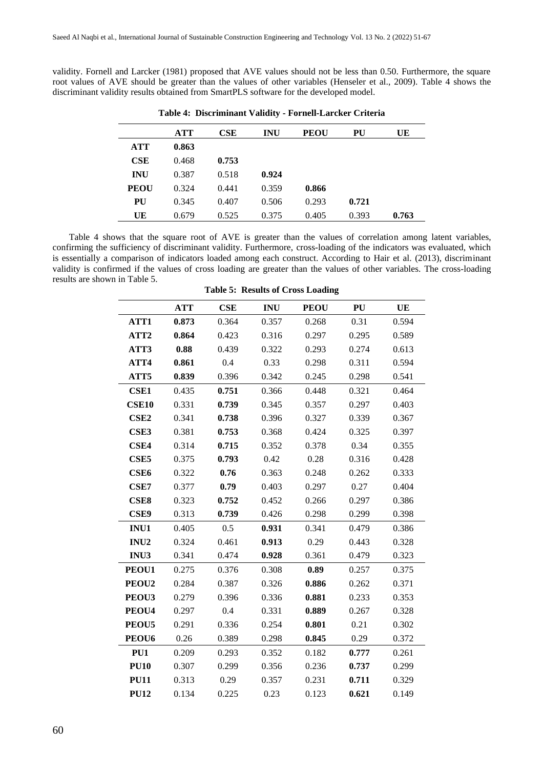validity. Fornell and Larcker (1981) proposed that AVE values should not be less than 0.50. Furthermore, the square root values of AVE should be greater than the values of other variables (Henseler et al., 2009). Table 4 shows the discriminant validity results obtained from SmartPLS software for the developed model.

|             | <b>ATT</b> | CSE   | <b>INU</b> | <b>PEOU</b> | PU    | UE    |
|-------------|------------|-------|------------|-------------|-------|-------|
| <b>ATT</b>  | 0.863      |       |            |             |       |       |
| CSE         | 0.468      | 0.753 |            |             |       |       |
| <b>INU</b>  | 0.387      | 0.518 | 0.924      |             |       |       |
| <b>PEOU</b> | 0.324      | 0.441 | 0.359      | 0.866       |       |       |
| PU          | 0.345      | 0.407 | 0.506      | 0.293       | 0.721 |       |
| UE          | 0.679      | 0.525 | 0.375      | 0.405       | 0.393 | 0.763 |

**Table 4: Discriminant Validity - Fornell-Larcker Criteria**

Table 4 shows that the square root of AVE is greater than the values of correlation among latent variables, confirming the sufficiency of discriminant validity. Furthermore, cross-loading of the indicators was evaluated, which is essentially a comparison of indicators loaded among each construct. According to Hair et al. (2013), discriminant validity is confirmed if the values of cross loading are greater than the values of other variables. The cross-loading results are shown in Table 5.

|                   | <b>ATT</b> | CSE   | <b>INU</b> | <b>PEOU</b> | PU    | UE    |
|-------------------|------------|-------|------------|-------------|-------|-------|
| ATT1              | 0.873      | 0.364 | 0.357      | 0.268       | 0.31  | 0.594 |
| ATT <sub>2</sub>  | 0.864      | 0.423 | 0.316      | 0.297       | 0.295 | 0.589 |
| ATT3              | 0.88       | 0.439 | 0.322      | 0.293       | 0.274 | 0.613 |
| ATT4              | 0.861      | 0.4   | 0.33       | 0.298       | 0.311 | 0.594 |
| ATT5              | 0.839      | 0.396 | 0.342      | 0.245       | 0.298 | 0.541 |
| <b>CSE1</b>       | 0.435      | 0.751 | 0.366      | 0.448       | 0.321 | 0.464 |
| <b>CSE10</b>      | 0.331      | 0.739 | 0.345      | 0.357       | 0.297 | 0.403 |
| CSE <sub>2</sub>  | 0.341      | 0.738 | 0.396      | 0.327       | 0.339 | 0.367 |
| CSE3              | 0.381      | 0.753 | 0.368      | 0.424       | 0.325 | 0.397 |
| CSE4              | 0.314      | 0.715 | 0.352      | 0.378       | 0.34  | 0.355 |
| CSE <sub>5</sub>  | 0.375      | 0.793 | 0.42       | 0.28        | 0.316 | 0.428 |
| CSE <sub>6</sub>  | 0.322      | 0.76  | 0.363      | 0.248       | 0.262 | 0.333 |
| CSE7              | 0.377      | 0.79  | 0.403      | 0.297       | 0.27  | 0.404 |
| CSE8              | 0.323      | 0.752 | 0.452      | 0.266       | 0.297 | 0.386 |
| CSE9              | 0.313      | 0.739 | 0.426      | 0.298       | 0.299 | 0.398 |
| INU1              | 0.405      | 0.5   | 0.931      | 0.341       | 0.479 | 0.386 |
| INU <sub>2</sub>  | 0.324      | 0.461 | 0.913      | 0.29        | 0.443 | 0.328 |
| INU3              | 0.341      | 0.474 | 0.928      | 0.361       | 0.479 | 0.323 |
| PEOU1             | 0.275      | 0.376 | 0.308      | 0.89        | 0.257 | 0.375 |
| PEOU <sub>2</sub> | 0.284      | 0.387 | 0.326      | 0.886       | 0.262 | 0.371 |
| PEOU3             | 0.279      | 0.396 | 0.336      | 0.881       | 0.233 | 0.353 |
| PEOU4             | 0.297      | 0.4   | 0.331      | 0.889       | 0.267 | 0.328 |
| PEOU5             | 0.291      | 0.336 | 0.254      | 0.801       | 0.21  | 0.302 |
| PEOU <sub>6</sub> | 0.26       | 0.389 | 0.298      | 0.845       | 0.29  | 0.372 |
| PU1               | 0.209      | 0.293 | 0.352      | 0.182       | 0.777 | 0.261 |
| <b>PU10</b>       | 0.307      | 0.299 | 0.356      | 0.236       | 0.737 | 0.299 |
| <b>PU11</b>       | 0.313      | 0.29  | 0.357      | 0.231       | 0.711 | 0.329 |
| <b>PU12</b>       | 0.134      | 0.225 | 0.23       | 0.123       | 0.621 | 0.149 |

**Table 5: Results of Cross Loading**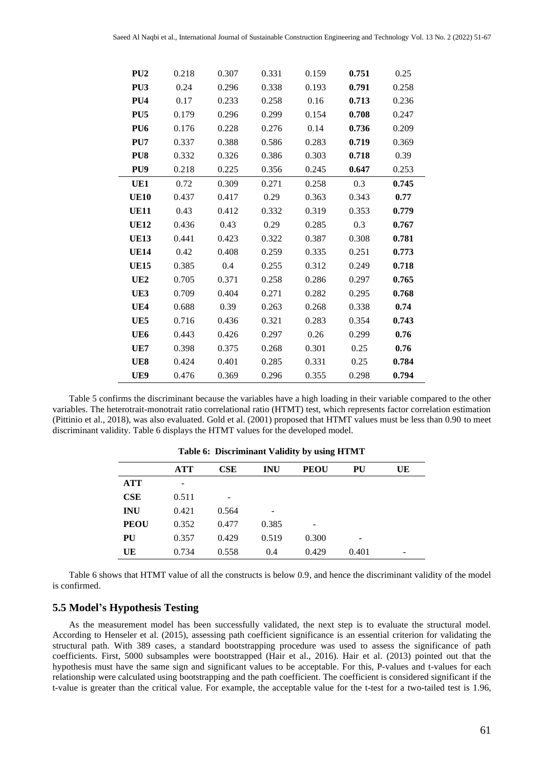| PU <sub>2</sub> | 0.218 | 0.307 | 0.331 | 0.159 | 0.751 | 0.25  |
|-----------------|-------|-------|-------|-------|-------|-------|
| PU <sub>3</sub> | 0.24  | 0.296 | 0.338 | 0.193 | 0.791 | 0.258 |
| PU <sub>4</sub> | 0.17  | 0.233 | 0.258 | 0.16  | 0.713 | 0.236 |
| PU <sub>5</sub> | 0.179 | 0.296 | 0.299 | 0.154 | 0.708 | 0.247 |
| PU <sub>6</sub> | 0.176 | 0.228 | 0.276 | 0.14  | 0.736 | 0.209 |
| PU7             | 0.337 | 0.388 | 0.586 | 0.283 | 0.719 | 0.369 |
| PU8             | 0.332 | 0.326 | 0.386 | 0.303 | 0.718 | 0.39  |
| PU <sub>9</sub> | 0.218 | 0.225 | 0.356 | 0.245 | 0.647 | 0.253 |
| UE1             | 0.72  | 0.309 | 0.271 | 0.258 | 0.3   | 0.745 |
| <b>UE10</b>     | 0.437 | 0.417 | 0.29  | 0.363 | 0.343 | 0.77  |
| <b>UE11</b>     | 0.43  | 0.412 | 0.332 | 0.319 | 0.353 | 0.779 |
| <b>UE12</b>     | 0.436 | 0.43  | 0.29  | 0.285 | 0.3   | 0.767 |
| <b>UE13</b>     | 0.441 | 0.423 | 0.322 | 0.387 | 0.308 | 0.781 |
| <b>UE14</b>     | 0.42  | 0.408 | 0.259 | 0.335 | 0.251 | 0.773 |
| <b>UE15</b>     | 0.385 | 0.4   | 0.255 | 0.312 | 0.249 | 0.718 |
| UE2             | 0.705 | 0.371 | 0.258 | 0.286 | 0.297 | 0.765 |
| UE3             | 0.709 | 0.404 | 0.271 | 0.282 | 0.295 | 0.768 |
| UE4             | 0.688 | 0.39  | 0.263 | 0.268 | 0.338 | 0.74  |
| UE5             | 0.716 | 0.436 | 0.321 | 0.283 | 0.354 | 0.743 |
| UE6             | 0.443 | 0.426 | 0.297 | 0.26  | 0.299 | 0.76  |
| UE7             | 0.398 | 0.375 | 0.268 | 0.301 | 0.25  | 0.76  |
| UE8             | 0.424 | 0.401 | 0.285 | 0.331 | 0.25  | 0.784 |
| UE9             | 0.476 | 0.369 | 0.296 | 0.355 | 0.298 | 0.794 |

Table 5 confirms the discriminant because the variables have a high loading in their variable compared to the other variables. The heterotrait-monotrait ratio correlational ratio (HTMT) test, which represents factor correlation estimation (Pittinio et al., 2018), was also evaluated. Gold et al. (2001) proposed that HTMT values must be less than 0.90 to meet discriminant validity. Table 6 displays the HTMT values for the developed model.

|             | <b>ATT</b> | CSE   | <b>INU</b> | <b>PEOU</b> | PU    | UE |
|-------------|------------|-------|------------|-------------|-------|----|
| <b>ATT</b>  | -          |       |            |             |       |    |
| CSE         | 0.511      | -     |            |             |       |    |
| <b>INU</b>  | 0.421      | 0.564 | -          |             |       |    |
| <b>PEOU</b> | 0.352      | 0.477 | 0.385      | -           |       |    |
| PU          | 0.357      | 0.429 | 0.519      | 0.300       | -     |    |
| UE          | 0.734      | 0.558 | 0.4        | 0.429       | 0.401 | -  |

**Table 6: Discriminant Validity by using HTMT**

Table 6 shows that HTMT value of all the constructs is below 0.9, and hence the discriminant validity of the model is confirmed.

### **5.5 Model's Hypothesis Testing**

As the measurement model has been successfully validated, the next step is to evaluate the structural model. According to Henseler et al. (2015), assessing path coefficient significance is an essential criterion for validating the structural path. With 389 cases, a standard bootstrapping procedure was used to assess the significance of path coefficients. First, 5000 subsamples were bootstrapped (Hair et al., 2016). Hair et al. (2013) pointed out that the hypothesis must have the same sign and significant values to be acceptable. For this, P-values and t-values for each relationship were calculated using bootstrapping and the path coefficient. The coefficient is considered significant if the t-value is greater than the critical value. For example, the acceptable value for the t-test for a two-tailed test is 1.96,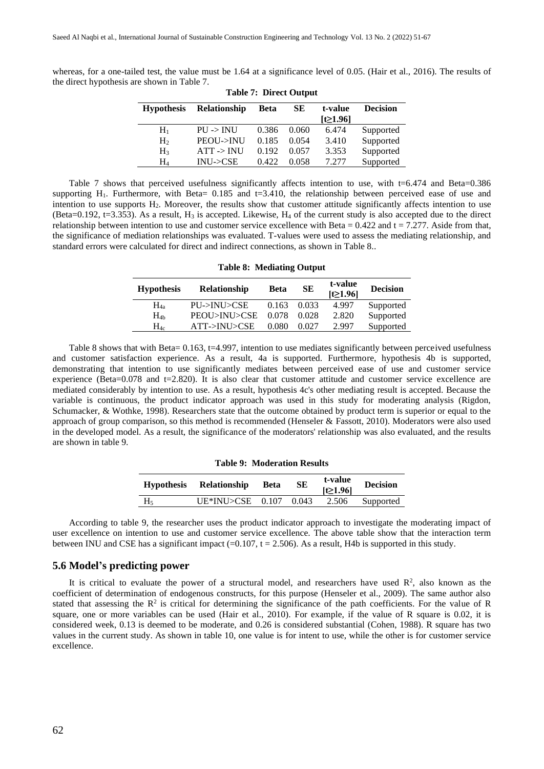whereas, for a one-tailed test, the value must be 1.64 at a significance level of 0.05. (Hair et al., 2016). The results of the direct hypothesis are shown in Table 7.

|                   |                       | rabic <i>i</i> . Direct Output |       |          |                 |
|-------------------|-----------------------|--------------------------------|-------|----------|-----------------|
| <b>Hypothesis</b> | <b>Relationship</b>   | Beta                           | SЕ    | t-value  | <b>Decision</b> |
|                   |                       |                                |       | [t≥1.96] |                 |
| $\rm{H}_{1}$      | $PU \rightarrow INU$  | 0.386                          | 0.060 | 6.474    | Supported       |
| H <sub>2</sub>    | PEOU->INU             | 0.185                          | 0.054 | 3.410    | Supported       |
| $H_3$             | $ATT \rightarrow INU$ | 0.192                          | 0.057 | 3.353    | Supported       |
| H4                | INU > CSE             | 0.422                          | 0.058 | 7.277    | Supported       |

| <b>Table 7: Direct Output</b> |
|-------------------------------|
|-------------------------------|

Table 7 shows that perceived usefulness significantly affects intention to use, with t=6.474 and Beta=0.386 supporting  $H_1$ . Furthermore, with Beta= 0.185 and t=3.410, the relationship between perceived ease of use and intention to use supports H2. Moreover, the results show that customer attitude significantly affects intention to use (Beta=0.192, t=3.353). As a result,  $H_3$  is accepted. Likewise,  $H_4$  of the current study is also accepted due to the direct relationship between intention to use and customer service excellence with Beta =  $0.422$  and t = 7.277. Aside from that, the significance of mediation relationships was evaluated. T-values were used to assess the mediating relationship, and standard errors were calculated for direct and indirect connections, as shown in Table 8..

| Table 8: Mediating Output |                     |       |       |                          |                 |
|---------------------------|---------------------|-------|-------|--------------------------|-----------------|
| <b>Hypothesis</b>         | <b>Relationship</b> | Beta  | SЕ    | t-value<br>$[t\geq1.96]$ | <b>Decision</b> |
| $H_{4a}$                  | PU->INU>CSE         | 0.163 | 0.033 | 4.997                    | Supported       |
| H <sub>4b</sub>           | PEOU>INU>CSE        | 0.078 | 0.028 | 2.820                    | Supported       |
| $\rm{H}_{4c}$             | ATT->INU>CSE        | 0.080 | 0.027 | 2.997                    | Supported       |

**Table 8: Mediating Output**

Table 8 shows that with Beta= 0.163, t=4.997, intention to use mediates significantly between perceived usefulness and customer satisfaction experience. As a result, 4a is supported. Furthermore, hypothesis 4b is supported, demonstrating that intention to use significantly mediates between perceived ease of use and customer service experience (Beta=0.078 and t=2.820). It is also clear that customer attitude and customer service excellence are mediated considerably by intention to use. As a result, hypothesis 4c's other mediating result is accepted. Because the variable is continuous, the product indicator approach was used in this study for moderating analysis (Rigdon, Schumacker, & Wothke, 1998). Researchers state that the outcome obtained by product term is superior or equal to the approach of group comparison, so this method is recommended (Henseler & Fassott, 2010). Moderators were also used in the developed model. As a result, the significance of the moderators' relationship was also evaluated, and the results are shown in table 9.

| <b>Table 9: Moderation Results</b> |              |             |    |                           |                 |
|------------------------------------|--------------|-------------|----|---------------------------|-----------------|
| <b>Hypothesis</b>                  | Relationship | <b>Beta</b> | SЕ | t-value<br>$[t \ge 1.96]$ | <b>Decision</b> |

H<sup>5</sup> UE\*INU>CSE 0.107 0.043 2.506 Supported

#### According to table 9, the researcher uses the product indicator approach to investigate the moderating impact of user excellence on intention to use and customer service excellence. The above table show that the interaction term between INU and CSE has a significant impact  $(=0.107, t = 2.506)$ . As a result, H4b is supported in this study.

#### **5.6 Model's predicting power**

It is critical to evaluate the power of a structural model, and researchers have used  $\mathbb{R}^2$ , also known as the coefficient of determination of endogenous constructs, for this purpose (Henseler et al., 2009). The same author also stated that assessing the  $R^2$  is critical for determining the significance of the path coefficients. For the value of R square, one or more variables can be used (Hair et al., 2010). For example, if the value of R square is 0.02, it is considered week, 0.13 is deemed to be moderate, and 0.26 is considered substantial (Cohen, 1988). R square has two values in the current study. As shown in table 10, one value is for intent to use, while the other is for customer service excellence.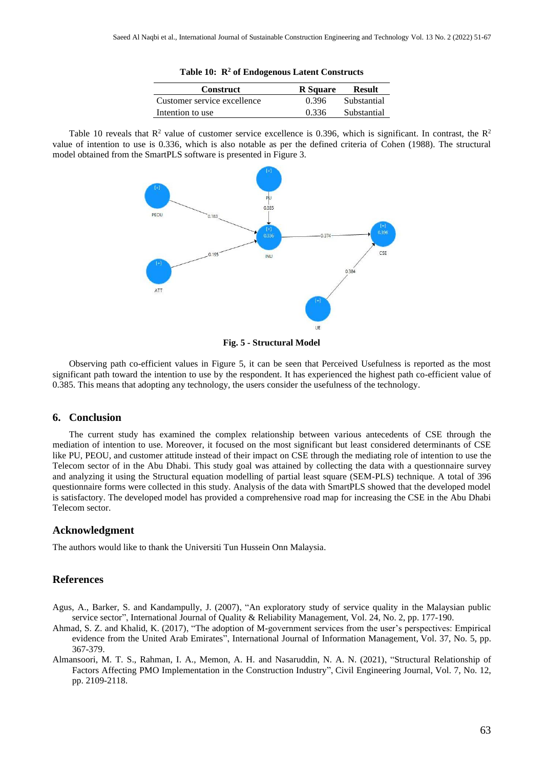|  |  | Table 10: R <sup>2</sup> of Endogenous Latent Constructs |  |  |
|--|--|----------------------------------------------------------|--|--|
|--|--|----------------------------------------------------------|--|--|

| <b>Construct</b>            | R Square | Result      |
|-----------------------------|----------|-------------|
| Customer service excellence | 0.396    | Substantial |
| Intention to use            | 0.336    | Substantial |

Table 10 reveals that  $R^2$  value of customer service excellence is 0.396, which is significant. In contrast, the  $R^2$ value of intention to use is 0.336, which is also notable as per the defined criteria of Cohen (1988). The structural model obtained from the SmartPLS software is presented in Figure 3.



**Fig. 5 - Structural Model**

Observing path co-efficient values in Figure 5, it can be seen that Perceived Usefulness is reported as the most significant path toward the intention to use by the respondent. It has experienced the highest path co-efficient value of 0.385. This means that adopting any technology, the users consider the usefulness of the technology.

#### **6. Conclusion**

The current study has examined the complex relationship between various antecedents of CSE through the mediation of intention to use. Moreover, it focused on the most significant but least considered determinants of CSE like PU, PEOU, and customer attitude instead of their impact on CSE through the mediating role of intention to use the Telecom sector of in the Abu Dhabi. This study goal was attained by collecting the data with a questionnaire survey and analyzing it using the Structural equation modelling of partial least square (SEM-PLS) technique. A total of 396 questionnaire forms were collected in this study. Analysis of the data with SmartPLS showed that the developed model is satisfactory. The developed model has provided a comprehensive road map for increasing the CSE in the Abu Dhabi Telecom sector.

#### **Acknowledgment**

The authors would like to thank the Universiti Tun Hussein Onn Malaysia.

#### **References**

- Agus, A., Barker, S. and Kandampully, J. (2007), "An exploratory study of service quality in the Malaysian public service sector", International Journal of Quality & Reliability Management, Vol. 24, No. 2, pp. 177-190.
- Ahmad, S. Z. and Khalid, K. (2017), "The adoption of M-government services from the user's perspectives: Empirical evidence from the United Arab Emirates", International Journal of Information Management, Vol. 37, No. 5, pp. 367-379.
- Almansoori, M. T. S., Rahman, I. A., Memon, A. H. and Nasaruddin, N. A. N. (2021), "Structural Relationship of Factors Affecting PMO Implementation in the Construction Industry", Civil Engineering Journal, Vol. 7, No. 12, pp. 2109-2118.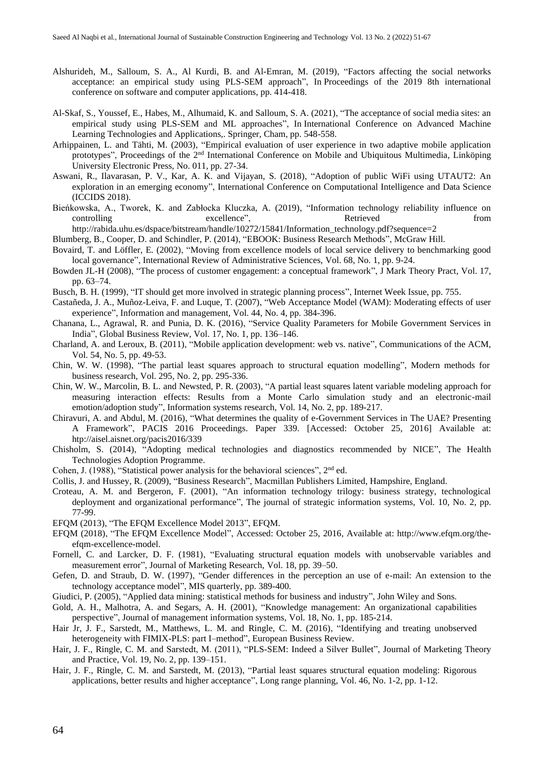- Alshurideh, M., Salloum, S. A., Al Kurdi, B. and Al-Emran, M. (2019), "Factors affecting the social networks acceptance: an empirical study using PLS-SEM approach", In Proceedings of the 2019 8th international conference on software and computer applications, pp. 414-418.
- Al-Skaf, S., Youssef, E., Habes, M., Alhumaid, K. and Salloum, S. A. (2021), "The acceptance of social media sites: an empirical study using PLS-SEM and ML approaches", In International Conference on Advanced Machine Learning Technologies and Applications,. Springer, Cham, pp. 548-558.
- Arhippainen, L. and Tähti, M. (2003), "Empirical evaluation of user experience in two adaptive mobile application prototypes", Proceedings of the 2<sup>nd</sup> International Conference on Mobile and Ubiquitous Multimedia, Linköping University Electronic Press, No. 011, pp. 27-34.
- Aswani, R., Ilavarasan, P. V., Kar, A. K. and Vijayan, S. (2018), "Adoption of public WiFi using UTAUT2: An exploration in an emerging economy", International Conference on Computational Intelligence and Data Science (ICCIDS 2018).
- Bieńkowska, A., Tworek, K. and Zabłocka Kluczka, A. (2019), "Information technology reliability influence on controlling excellence", Retrieved from excellence excellence and  $\mathbb{R}$  excellence in  $\mathbb{R}$  excellence in  $\mathbb{R}$  excellence in  $\mathbb{R}$  excellence in  $\mathbb{R}$  excellence in  $\mathbb{R}$  excellence in  $\mathbb{R}$  excellenc

[http://rabida.uhu.es/dspace/bitstream/handle/10272/15841/Information\\_technology.pdf?sequence=2](http://rabida.uhu.es/dspace/bitstream/handle/10272/15841/Information_technology.pdf?sequence=2)

- Blumberg, B., Cooper, D. and Schindler, P. (2014), "EBOOK: Business Research Methods", McGraw Hill.
- Bovaird, T. and Löffler, E. (2002), "Moving from excellence models of local service delivery to benchmarking good local governance", International Review of Administrative Sciences, Vol. 68, No. 1, pp. 9-24.
- Bowden JL-H (2008), "The process of customer engagement: a conceptual framework", J Mark Theory Pract, Vol. 17, pp. 63–74.
- Busch, B. H. (1999), "IT should get more involved in strategic planning process", Internet Week Issue, pp. 755.
- Castañeda, J. A., Muñoz-Leiva, F. and Luque, T. (2007), "Web Acceptance Model (WAM): Moderating effects of user experience", Information and management, Vol. 44, No. 4, pp. 384-396.
- Chanana, L., Agrawal, R. and Punia, D. K. (2016), "Service Quality Parameters for Mobile Government Services in India", Global Business Review, Vol. 17, No. 1, pp. 136–146.
- Charland, A. and Leroux, B. (2011), "Mobile application development: web vs. native", Communications of the ACM, Vol. 54, No. 5, pp. 49-53.
- Chin, W. W. (1998), "The partial least squares approach to structural equation modelling", Modern methods for business research, Vol. 295, No. 2, pp. 295-336.
- Chin, W. W., Marcolin, B. L. and Newsted, P. R. (2003), "A partial least squares latent variable modeling approach for measuring interaction effects: Results from a Monte Carlo simulation study and an electronic-mail emotion/adoption study", Information systems research, Vol. 14, No. 2, pp. 189-217.
- Chiravuri, A. and Abdul, M. (2016), "What determines the quality of e-Government Services in The UAE? Presenting A Framework", PACIS 2016 Proceedings. Paper 339. [Accessed: October 25, 2016] Available at: htp://aisel.aisnet.org/pacis2016/339
- Chisholm, S. (2014), "Adopting medical technologies and diagnostics recommended by NICE", The Health Technologies Adoption Programme.
- Cohen, J. (1988), "Statistical power analysis for the behavioral sciences", 2<sup>nd</sup> ed.
- Collis, J. and Hussey, R. (2009), "Business Research", Macmillan Publishers Limited, Hampshire, England.
- Croteau, A. M. and Bergeron, F. (2001), "An information technology trilogy: business strategy, technological deployment and organizational performance", The journal of strategic information systems, Vol. 10, No. 2, pp. 77-99.
- EFQM (2013), "The EFQM Excellence Model 2013", EFQM.
- EFQM (2018), "The EFQM Excellence Model", Accessed: October 25, 2016, Available at: [http://www.efqm.org/the](http://www.efqm.org/the-efqm-excellence-model)[efqm-excellence-model.](http://www.efqm.org/the-efqm-excellence-model)
- Fornell, C. and Larcker, D. F. (1981), "Evaluating structural equation models with unobservable variables and measurement error", Journal of Marketing Research, Vol. 18, pp. 39–50.
- Gefen, D. and Straub, D. W. (1997), "Gender differences in the perception an use of e-mail: An extension to the technology acceptance model", MIS quarterly, pp. 389-400.
- Giudici, P. (2005), "Applied data mining: statistical methods for business and industry", John Wiley and Sons.
- Gold, A. H., Malhotra, A. and Segars, A. H. (2001), "Knowledge management: An organizational capabilities perspective", Journal of management information systems, Vol. 18, No. 1, pp. 185-214.
- Hair Jr, J. F., Sarstedt, M., Matthews, L. M. and Ringle, C. M. (2016), "Identifying and treating unobserved heterogeneity with FIMIX-PLS: part I–method", European Business Review.
- Hair, J. F., Ringle, C. M. and Sarstedt, M. (2011), "PLS-SEM: Indeed a Silver Bullet", Journal of Marketing Theory and Practice, Vol. 19, No. 2, pp. 139–151.
- Hair, J. F., Ringle, C. M. and Sarstedt, M. (2013), "Partial least squares structural equation modeling: Rigorous applications, better results and higher acceptance", Long range planning, Vol. 46, No. 1-2, pp. 1-12.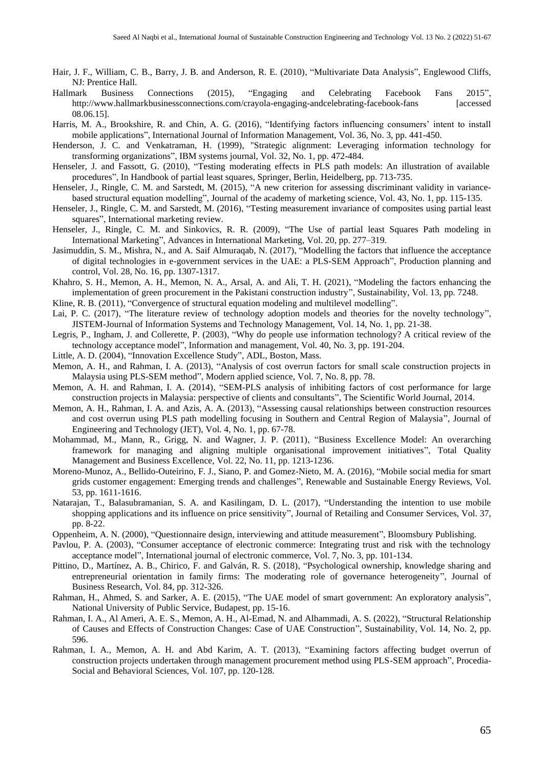- Hair, J. F., William, C. B., Barry, J. B. and Anderson, R. E. (2010), "Multivariate Data Analysis", Englewood Cliffs, NJ: Prentice Hall.
- Hallmark Business Connections (2015), "Engaging and Celebrating Facebook Fans 2015", http://www.hallmarkbusinessconnections.com/crayola-engaging-andcelebrating-facebook-fans [accessed 08.06.15].
- Harris, M. A., Brookshire, R. and Chin, A. G. (2016), "Identifying factors influencing consumers' intent to install mobile applications", International Journal of Information Management, Vol. 36, No. 3, pp. 441-450.
- Henderson, J. C. and Venkatraman, H. (1999), "Strategic alignment: Leveraging information technology for transforming organizations", IBM systems journal, Vol. 32, No. 1, pp. 472-484.
- Henseler, J. and Fassott, G. (2010), "Testing moderating effects in PLS path models: An illustration of available procedures", In Handbook of partial least squares, Springer, Berlin, Heidelberg, pp. 713-735.
- Henseler, J., Ringle, C. M. and Sarstedt, M. (2015), "A new criterion for assessing discriminant validity in variancebased structural equation modelling", Journal of the academy of marketing science, Vol. 43, No. 1, pp. 115-135.
- Henseler, J., Ringle, C. M. and Sarstedt, M. (2016), "Testing measurement invariance of composites using partial least squares", International marketing review.
- Henseler, J., Ringle, C. M. and Sinkovics, R. R. (2009), "The Use of partial least Squares Path modeling in International Marketing", Advances in International Marketing, Vol. 20, pp. 277–319.
- Jasimuddin, S. M., Mishra, N., and A. Saif Almuraqab, N. (2017), "Modelling the factors that influence the acceptance of digital technologies in e-government services in the UAE: a PLS-SEM Approach", Production planning and control, Vol. 28, No. 16, pp. 1307-1317.
- Khahro, S. H., Memon, A. H., Memon, N. A., Arsal, A. and Ali, T. H. (2021), "Modeling the factors enhancing the implementation of green procurement in the Pakistani construction industry", Sustainability, Vol. 13, pp. 7248.
- Kline, R. B. (2011), "Convergence of structural equation modeling and multilevel modelling".
- Lai, P. C. (2017), "The literature review of technology adoption models and theories for the novelty technology", JISTEM-Journal of Information Systems and Technology Management, Vol. 14, No. 1, pp. 21-38.
- Legris, P., Ingham, J. and Collerette, P. (2003), "Why do people use information technology? A critical review of the technology acceptance model", Information and management, Vol. 40, No. 3, pp. 191-204.
- Little, A. D. (2004), "Innovation Excellence Study", ADL, Boston, Mass.
- Memon, A. H., and Rahman, I. A. (2013), "Analysis of cost overrun factors for small scale construction projects in Malaysia using PLS-SEM method", Modern applied science, Vol. 7, No. 8, pp. 78.
- Memon, A. H. and Rahman, I. A. (2014), "SEM-PLS analysis of inhibiting factors of cost performance for large construction projects in Malaysia: perspective of clients and consultants", The Scientific World Journal, 2014.
- Memon, A. H., Rahman, I. A. and Azis, A. A. (2013), "Assessing causal relationships between construction resources and cost overrun using PLS path modelling focusing in Southern and Central Region of Malaysia", Journal of Engineering and Technology (JET), Vol. 4, No. 1, pp. 67-78.
- Mohammad, M., Mann, R., Grigg, N. and Wagner, J. P. (2011), "Business Excellence Model: An overarching framework for managing and aligning multiple organisational improvement initiatives", Total Quality Management and Business Excellence, Vol. 22, No. 11, pp. 1213-1236.
- Moreno-Munoz, A., Bellido-Outeirino, F. J., Siano, P. and Gomez-Nieto, M. A. (2016), "Mobile social media for smart grids customer engagement: Emerging trends and challenges", Renewable and Sustainable Energy Reviews, Vol. 53, pp. 1611-1616.
- Natarajan, T., Balasubramanian, S. A. and Kasilingam, D. L. (2017), "Understanding the intention to use mobile shopping applications and its influence on price sensitivity", Journal of Retailing and Consumer Services, Vol. 37, pp. 8-22.
- Oppenheim, A. N. (2000), "Questionnaire design, interviewing and attitude measurement", Bloomsbury Publishing.
- Pavlou, P. A. (2003), "Consumer acceptance of electronic commerce: Integrating trust and risk with the technology acceptance model", International journal of electronic commerce, Vol. 7, No. 3, pp. 101-134.
- Pittino, D., Martínez, A. B., Chirico, F. and Galván, R. S. (2018), "Psychological ownership, knowledge sharing and entrepreneurial orientation in family firms: The moderating role of governance heterogeneity", Journal of Business Research, Vol. 84, pp. 312-326.
- Rahman, H., Ahmed, S. and Sarker, A. E. (2015), "The UAE model of smart government: An exploratory analysis", National University of Public Service, Budapest, pp. 15-16.
- Rahman, I. A., Al Ameri, A. E. S., Memon, A. H., Al-Emad, N. and Alhammadi, A. S. (2022), "Structural Relationship of Causes and Effects of Construction Changes: Case of UAE Construction", Sustainability, Vol. 14, No. 2, pp. 596.
- Rahman, I. A., Memon, A. H. and Abd Karim, A. T. (2013), "Examining factors affecting budget overrun of construction projects undertaken through management procurement method using PLS-SEM approach", Procedia-Social and Behavioral Sciences, Vol. 107, pp. 120-128.